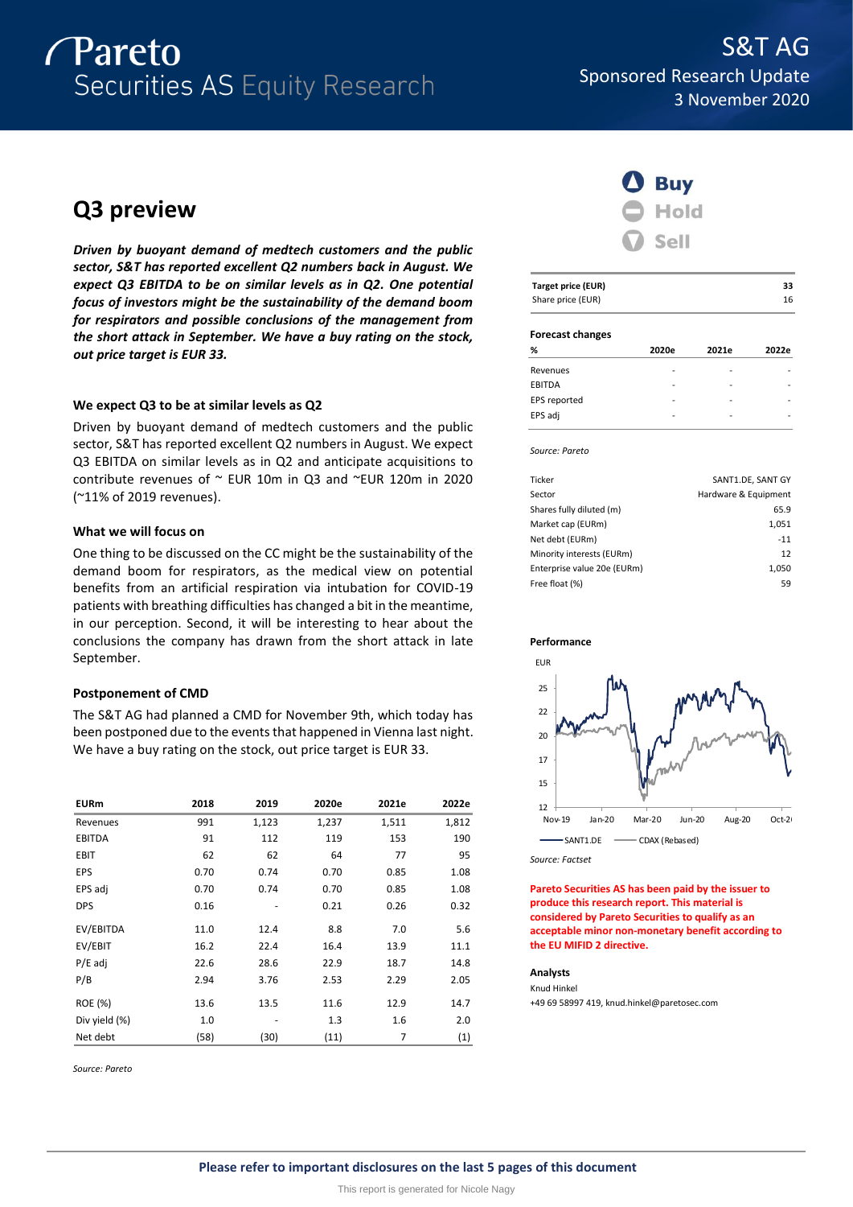

# **Q3 preview**

*Driven by buoyant demand of medtech customers and the public sector, S&T has reported excellent Q2 numbers back in August. We expect Q3 EBITDA to be on similar levels as in Q2. One potential focus of investors might be the sustainability of the demand boom for respirators and possible conclusions of the management from the short attack in September. We have a buy rating on the stock, out price target is EUR 33.* 

# **We expect Q3 to be at similar levels as Q2**

Driven by buoyant demand of medtech customers and the public sector, S&T has reported excellent Q2 numbers in August. We expect Q3 EBITDA on similar levels as in Q2 and anticipate acquisitions to contribute revenues of ~ EUR 10m in Q3 and ~EUR 120m in 2020 (~11% of 2019 revenues).

# **What we will focus on**

One thing to be discussed on the CC might be the sustainability of the demand boom for respirators, as the medical view on potential benefits from an artificial respiration via intubation for COVID-19 patients with breathing difficulties has changed a bit in the meantime, in our perception. Second, it will be interesting to hear about the conclusions the company has drawn from the short attack in late September.

# **Postponement of CMD**

The S&T AG had planned a CMD for November 9th, which today has been postponed due to the events that happened in Vienna last night. We have a buy rating on the stock, out price target is EUR 33.

| <b>EURm</b>   | 2018 | 2019  | 2020e | 2021e | 2022e |
|---------------|------|-------|-------|-------|-------|
| Revenues      | 991  | 1,123 | 1,237 | 1,511 | 1,812 |
| <b>EBITDA</b> | 91   | 112   | 119   | 153   | 190   |
| <b>EBIT</b>   | 62   | 62    | 64    | 77    | 95    |
| EPS           | 0.70 | 0.74  | 0.70  | 0.85  | 1.08  |
| EPS adj       | 0.70 | 0.74  | 0.70  | 0.85  | 1.08  |
| <b>DPS</b>    | 0.16 |       | 0.21  | 0.26  | 0.32  |
| EV/EBITDA     | 11.0 | 12.4  | 8.8   | 7.0   | 5.6   |
| EV/EBIT       | 16.2 | 22.4  | 16.4  | 13.9  | 11.1  |
| $P/E$ adj     | 22.6 | 28.6  | 22.9  | 18.7  | 14.8  |
| P/B           | 2.94 | 3.76  | 2.53  | 2.29  | 2.05  |
| ROE (%)       | 13.6 | 13.5  | 11.6  | 12.9  | 14.7  |
| Div yield (%) | 1.0  |       | 1.3   | 1.6   | 2.0   |
| Net debt      | (58) | (30)  | (11)  | 7     | (1)   |

*Source: Pareto*



| Target price (EUR) | 33 |
|--------------------|----|
| Share price (EUR)  | 16 |

## **Forecast changes**

| %             | 2020e                    | 2021e | 2022e |
|---------------|--------------------------|-------|-------|
| Revenues      |                          |       |       |
| <b>EBITDA</b> | $\overline{\phantom{0}}$ | ۰     |       |
| EPS reported  |                          | -     |       |
| EPS adj       |                          |       |       |

*Source: Pareto*

| Ticker                      | SANT1.DE, SANT GY    |
|-----------------------------|----------------------|
| Sector                      | Hardware & Equipment |
| Shares fully diluted (m)    | 65.9                 |
| Market cap (EURm)           | 1,051                |
| Net debt (EURm)             | $-11$                |
| Minority interests (EURm)   | 12                   |
| Enterprise value 20e (EURm) | 1,050                |
| Free float (%)              | 59                   |
|                             |                      |





*Source: Factset*

**Pareto Securities AS has been paid by the issuer to produce this research report. This material is considered by Pareto Securities to qualify as an acceptable minor non-monetary benefit according to the EU MIFID 2 directive.**

# **Analysts**

Knud Hinkel +49 69 58997 419, knud.hinkel@paretosec.com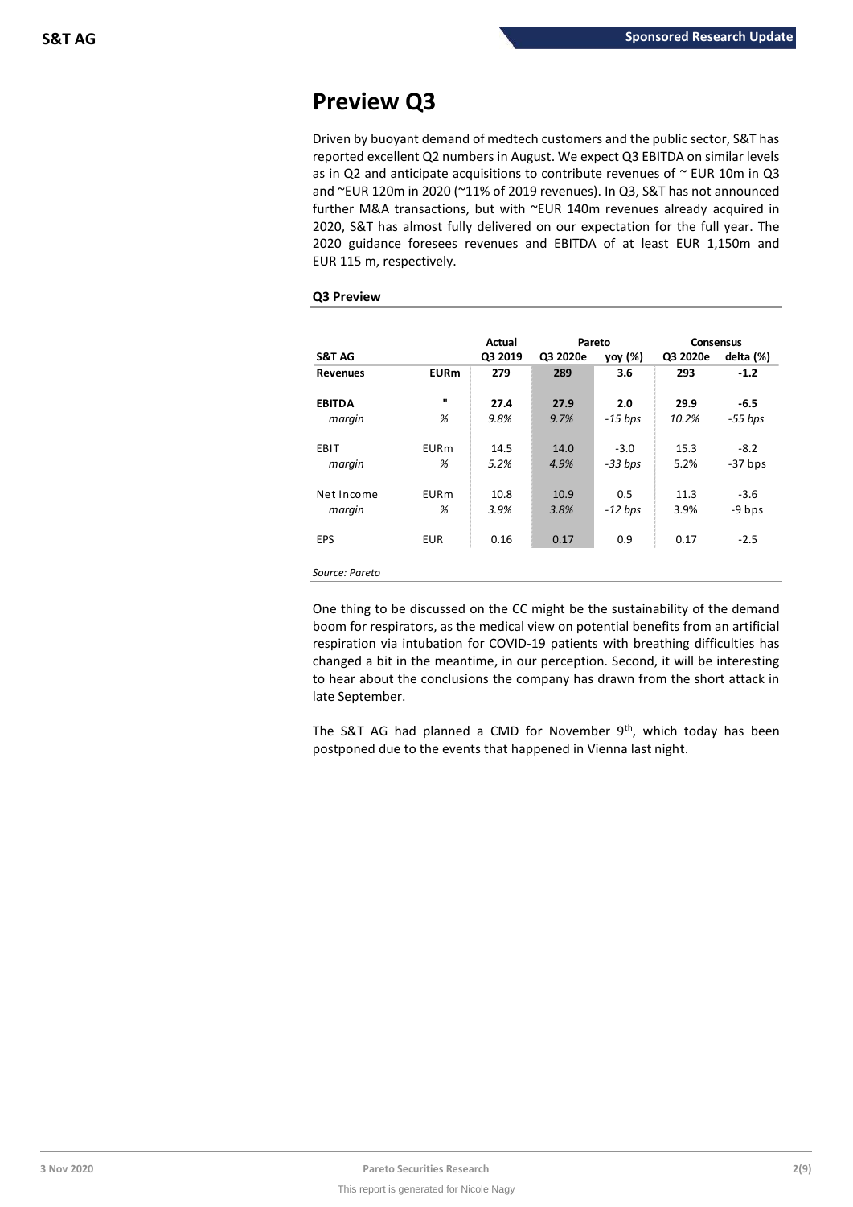# **Preview Q3**

Driven by buoyant demand of medtech customers and the public sector, S&T has reported excellent Q2 numbers in August. We expect Q3 EBITDA on similar levels as in Q2 and anticipate acquisitions to contribute revenues of  $\sim$  EUR 10m in Q3 and ~EUR 120m in 2020 (~11% of 2019 revenues). In Q3, S&T has not announced further M&A transactions, but with ~EUR 140m revenues already acquired in 2020, S&T has almost fully delivered on our expectation for the full year. The 2020 guidance foresees revenues and EBITDA of at least EUR 1,150m and EUR 115 m, respectively.

# **Q3 Preview**

|                   |             | Actual  | Pareto   |           | <b>Consensus</b> |           |
|-------------------|-------------|---------|----------|-----------|------------------|-----------|
| <b>S&amp;T AG</b> |             | Q3 2019 | Q3 2020e | yoy (%)   | Q3 2020e         | delta (%) |
| <b>Revenues</b>   | <b>EURm</b> | 279     | 289      | 3.6       | 293              | $-1.2$    |
| <b>EBITDA</b>     |             | 27.4    | 27.9     | 2.0       | 29.9             | $-6.5$    |
| margin            | %           | 9.8%    | 9.7%     | $-15$ bps | 10.2%            | $-55$ bps |
| EBIT              | <b>EURm</b> | 14.5    | 14.0     | $-3.0$    | 15.3             | $-8.2$    |
| margin            | %           | 5.2%    | 4.9%     | $-33 bps$ | 5.2%             | $-37$ bps |
| Net Income        | <b>EURm</b> | 10.8    | 10.9     | 0.5       | 11.3             | $-3.6$    |
| margin            | %           | 3.9%    | 3.8%     | $-12$ bps | 3.9%             | -9 bps    |
| <b>EPS</b>        | <b>EUR</b>  | 0.16    | 0.17     | 0.9       | 0.17             | $-2.5$    |
| Source: Pareto    |             |         |          |           |                  |           |

One thing to be discussed on the CC might be the sustainability of the demand boom for respirators, as the medical view on potential benefits from an artificial respiration via intubation for COVID-19 patients with breathing difficulties has changed a bit in the meantime, in our perception. Second, it will be interesting to hear about the conclusions the company has drawn from the short attack in late September.

The S&T AG had planned a CMD for November  $9<sup>th</sup>$ , which today has been postponed due to the events that happened in Vienna last night.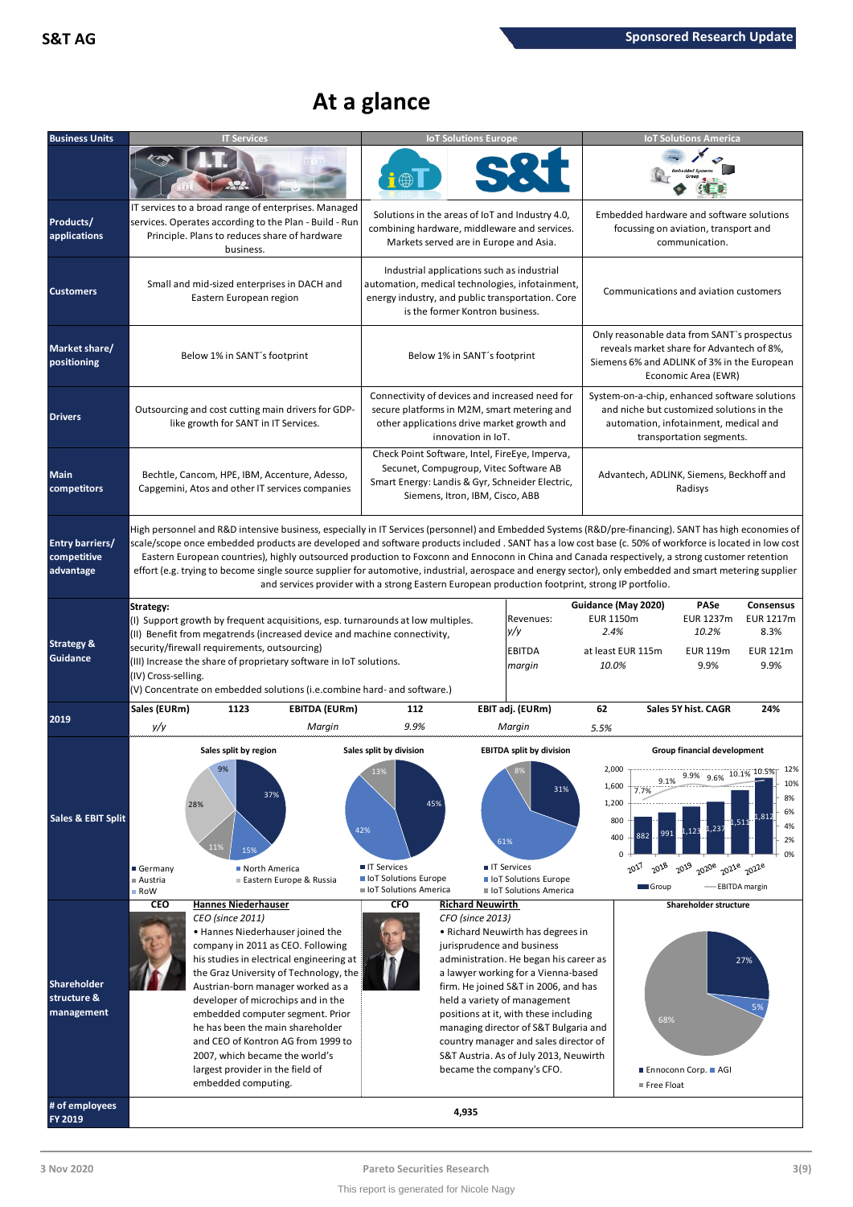# **At a glance**

| <b>Business Units</b>                       | <b>IT Services</b>                                                                                                                                                                                                                                                                                                                                                                                                                                                                                                                                                                                                                                                                                                                | <b>IoT Solutions Europe</b>                                                                                                                                                                                                                                                                                                                                                                                                                                                             |                                               | <b>IoT Solutions America</b>                                                                                                                                                                 |                                                           |  |  |  |
|---------------------------------------------|-----------------------------------------------------------------------------------------------------------------------------------------------------------------------------------------------------------------------------------------------------------------------------------------------------------------------------------------------------------------------------------------------------------------------------------------------------------------------------------------------------------------------------------------------------------------------------------------------------------------------------------------------------------------------------------------------------------------------------------|-----------------------------------------------------------------------------------------------------------------------------------------------------------------------------------------------------------------------------------------------------------------------------------------------------------------------------------------------------------------------------------------------------------------------------------------------------------------------------------------|-----------------------------------------------|----------------------------------------------------------------------------------------------------------------------------------------------------------------------------------------------|-----------------------------------------------------------|--|--|--|
|                                             |                                                                                                                                                                                                                                                                                                                                                                                                                                                                                                                                                                                                                                                                                                                                   |                                                                                                                                                                                                                                                                                                                                                                                                                                                                                         |                                               |                                                                                                                                                                                              |                                                           |  |  |  |
| Products/<br>applications                   | IT services to a broad range of enterprises. Managed<br>services. Operates according to the Plan - Build - Run<br>Principle. Plans to reduces share of hardware<br>business.                                                                                                                                                                                                                                                                                                                                                                                                                                                                                                                                                      | Solutions in the areas of IoT and Industry 4.0,<br>combining hardware, middleware and services.<br>Markets served are in Europe and Asia.                                                                                                                                                                                                                                                                                                                                               |                                               | Embedded hardware and software solutions<br>focussing on aviation, transport and<br>communication.                                                                                           |                                                           |  |  |  |
| <b>Customers</b>                            | Small and mid-sized enterprises in DACH and<br>Eastern European region                                                                                                                                                                                                                                                                                                                                                                                                                                                                                                                                                                                                                                                            | Industrial applications such as industrial<br>automation, medical technologies, infotainment,<br>energy industry, and public transportation. Core<br>is the former Kontron business.                                                                                                                                                                                                                                                                                                    |                                               | Communications and aviation customers                                                                                                                                                        |                                                           |  |  |  |
| Market share/<br>positioning                | Below 1% in SANT's footprint                                                                                                                                                                                                                                                                                                                                                                                                                                                                                                                                                                                                                                                                                                      | Below 1% in SANT's footprint                                                                                                                                                                                                                                                                                                                                                                                                                                                            |                                               | Only reasonable data from SANT's prospectus<br>reveals market share for Advantech of 8%,<br>Siemens 6% and ADLINK of 3% in the European<br>Economic Area (EWR)                               |                                                           |  |  |  |
| <b>Drivers</b>                              | Outsourcing and cost cutting main drivers for GDP-<br>like growth for SANT in IT Services.                                                                                                                                                                                                                                                                                                                                                                                                                                                                                                                                                                                                                                        | Connectivity of devices and increased need for<br>secure platforms in M2M, smart metering and<br>other applications drive market growth and<br>innovation in IoT.                                                                                                                                                                                                                                                                                                                       |                                               | System-on-a-chip, enhanced software solutions<br>and niche but customized solutions in the<br>automation, infotainment, medical and<br>transportation segments.                              |                                                           |  |  |  |
| <b>Main</b><br>competitors                  | Bechtle, Cancom, HPE, IBM, Accenture, Adesso,<br>Capgemini, Atos and other IT services companies                                                                                                                                                                                                                                                                                                                                                                                                                                                                                                                                                                                                                                  | Check Point Software, Intel, FireEye, Imperva,<br>Secunet, Compugroup, Vitec Software AB<br>Smart Energy: Landis & Gyr, Schneider Electric,<br>Siemens, Itron, IBM, Cisco, ABB                                                                                                                                                                                                                                                                                                          |                                               | Advantech, ADLINK, Siemens, Beckhoff and<br>Radisys                                                                                                                                          |                                                           |  |  |  |
| Entry barriers/<br>competitive<br>advantage | High personnel and R&D intensive business, especially in IT Services (personnel) and Embedded Systems (R&D/pre-financing). SANT has high economies of<br>scale/scope once embedded products are developed and software products included . SANT has a low cost base (c. 50% of workforce is located in low cost<br>Eastern European countries), highly outsourced production to Foxconn and Ennoconn in China and Canada respectively, a strong customer retention<br>effort (e.g. trying to become single source supplier for automotive, industrial, aerospace and energy sector), only embedded and smart metering supplier<br>and services provider with a strong Eastern European production footprint, strong IP portfolio. |                                                                                                                                                                                                                                                                                                                                                                                                                                                                                         |                                               |                                                                                                                                                                                              |                                                           |  |  |  |
| <b>Strategy &amp;</b><br>Guidance           | Strategy:<br>(I) Support growth by frequent acquisitions, esp. turnarounds at low multiples.<br>(II) Benefit from megatrends (increased device and machine connectivity,<br>security/firewall requirements, outsourcing)<br>(III) Increase the share of proprietary software in IoT solutions.<br>(IV) Cross-selling.<br>(V) Concentrate on embedded solutions (i.e.combine hard- and software.)                                                                                                                                                                                                                                                                                                                                  | y/y<br><b>EBITDA</b><br>margin                                                                                                                                                                                                                                                                                                                                                                                                                                                          | Revenues:                                     | Guidance (May 2020)<br><b>PASe</b><br>EUR 1150m<br>EUR 1237m<br>2.4%<br>10.2%<br>at least EUR 115m<br><b>EUR 119m</b><br>10.0%<br>9.9%                                                       | Consensus<br>EUR 1217m<br>8.3%<br><b>EUR 121m</b><br>9.9% |  |  |  |
| 2019                                        | Sales (EURm)<br>1123<br><b>EBITDA (EURm)</b>                                                                                                                                                                                                                                                                                                                                                                                                                                                                                                                                                                                                                                                                                      | EBIT adj. (EURm)<br>112                                                                                                                                                                                                                                                                                                                                                                                                                                                                 | 62                                            | Sales 5Y hist. CAGR                                                                                                                                                                          | 24%                                                       |  |  |  |
|                                             | y/y<br>Margin                                                                                                                                                                                                                                                                                                                                                                                                                                                                                                                                                                                                                                                                                                                     | 9.9%<br>Margin                                                                                                                                                                                                                                                                                                                                                                                                                                                                          | 5.5%                                          |                                                                                                                                                                                              |                                                           |  |  |  |
| <b>Sales &amp; EBIT Split</b>               | Sales split by region<br>9%<br>37%<br>28%<br>11%<br>15%<br>Germany<br>North America                                                                                                                                                                                                                                                                                                                                                                                                                                                                                                                                                                                                                                               | Sales split by division<br>45%<br>42%<br>61%<br><b>TI Services</b><br><b>T</b> IT Services                                                                                                                                                                                                                                                                                                                                                                                              | <b>EBITDA split by division</b><br>31%        | Group financial development<br>9.9% 9.6% 10.1% 10.5% 12%<br>9.1%<br>1,600<br>7.7%<br>1,200<br>800<br>237<br>123<br>400<br>882<br>$\mathbf 0$<br>2018<br>2019<br>2017<br>2020e<br>2021e 2022e | 10%<br>8%<br>6%<br>,812<br>4%<br>2%<br>0%                 |  |  |  |
|                                             | Austria<br>Eastern Europe & Russia<br>■ RoW                                                                                                                                                                                                                                                                                                                                                                                                                                                                                                                                                                                                                                                                                       | loT Solutions Europe<br>loT Solutions America                                                                                                                                                                                                                                                                                                                                                                                                                                           | loT Solutions Europe<br>loT Solutions America | Group<br><b>EBITDA</b> margin                                                                                                                                                                |                                                           |  |  |  |
| Shareholder<br>structure &<br>management    | <b>CEO</b><br><b>Hannes Niederhauser</b><br>CEO (since 2011)<br>• Hannes Niederhauser joined the<br>company in 2011 as CEO. Following<br>his studies in electrical engineering at<br>the Graz University of Technology, the<br>Austrian-born manager worked as a<br>developer of microchips and in the<br>embedded computer segment. Prior<br>he has been the main shareholder<br>and CEO of Kontron AG from 1999 to<br>2007, which became the world's<br>largest provider in the field of<br>embedded computing.                                                                                                                                                                                                                 | <b>CFO</b><br><b>Richard Neuwirth</b><br>CFO (since 2013)<br>• Richard Neuwirth has degrees in<br>jurisprudence and business<br>administration. He began his career as<br>a lawyer working for a Vienna-based<br>firm. He joined S&T in 2006, and has<br>held a variety of management<br>positions at it, with these including<br>managing director of S&T Bulgaria and<br>country manager and sales director of<br>S&T Austria. As of July 2013, Neuwirth<br>became the company's CFO. |                                               | Shareholder structure<br>27%<br>68%<br>■ Ennoconn Corp. ■ AGI<br>Free Float                                                                                                                  | 5%                                                        |  |  |  |
| # of employees<br>FY 2019                   |                                                                                                                                                                                                                                                                                                                                                                                                                                                                                                                                                                                                                                                                                                                                   | 4,935                                                                                                                                                                                                                                                                                                                                                                                                                                                                                   |                                               |                                                                                                                                                                                              |                                                           |  |  |  |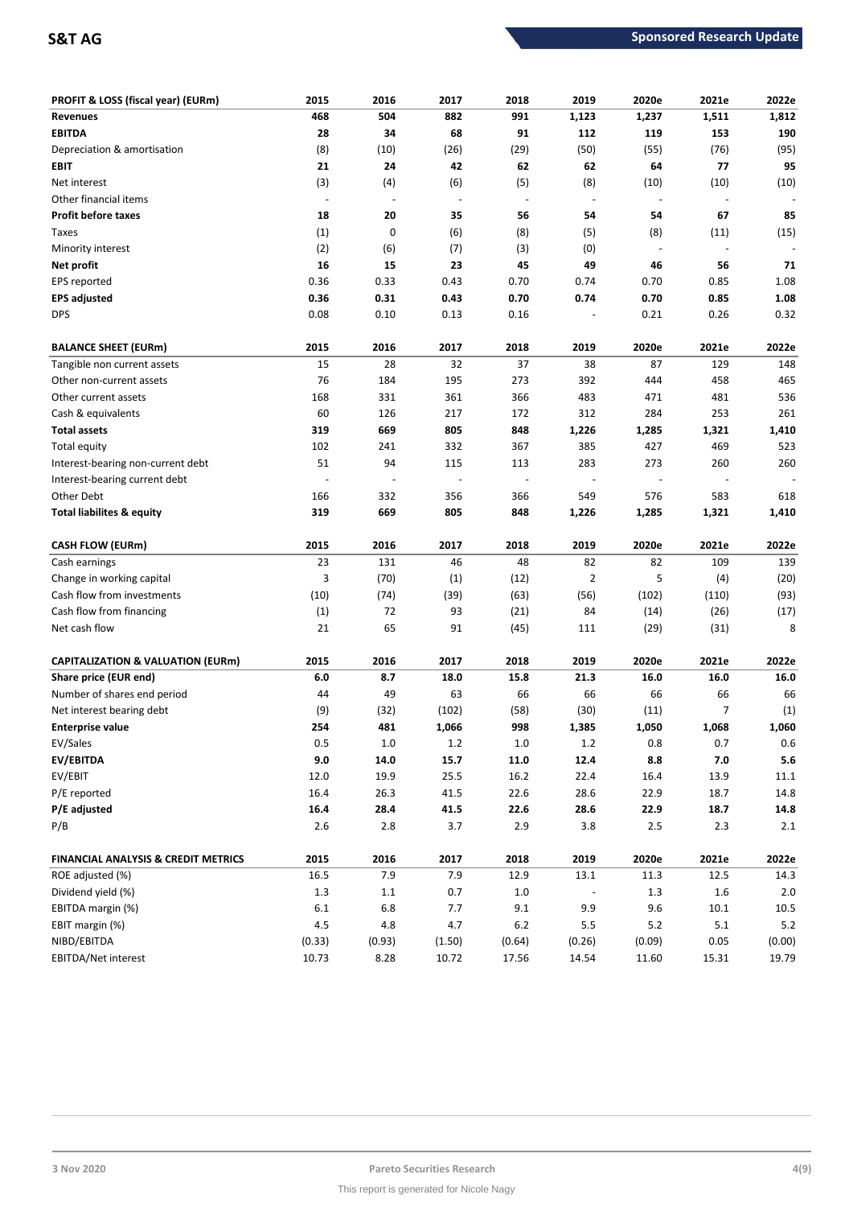| <b>PROFIT &amp; LOSS (fiscal year) (EURm)</b> | 2015    | 2016                     | 2017           | 2018    | 2019                     | 2020e                    | 2021e                    | 2022e       |
|-----------------------------------------------|---------|--------------------------|----------------|---------|--------------------------|--------------------------|--------------------------|-------------|
| <b>Revenues</b>                               | 468     | 504                      | 882            | 991     | 1,123                    | 1,237                    | 1,511                    | 1,812       |
| <b>EBITDA</b>                                 | 28      | 34                       | 68             | 91      | 112                      | 119                      | 153                      | 190         |
| Depreciation & amortisation                   | (8)     | (10)                     | (26)           | (29)    | (50)                     | (55)                     | (76)                     | (95)        |
| EBIT                                          | 21      | 24                       | 42             | 62      | 62                       | 64                       | 77                       | 95          |
| Net interest                                  | (3)     | (4)                      | (6)            | (5)     | (8)                      | (10)                     | (10)                     | (10)        |
| Other financial items                         | $\sim$  | $\overline{\phantom{a}}$ | $\blacksquare$ | $\sim$  | $\overline{\phantom{a}}$ | $\overline{\phantom{a}}$ | $\overline{\phantom{m}}$ |             |
| <b>Profit before taxes</b>                    | 18      | 20                       | 35             | 56      | 54                       | 54                       | 67                       | 85          |
| Taxes                                         | (1)     | 0                        | (6)            | (8)     | (5)                      | (8)                      | (11)                     | (15)        |
| Minority interest                             | (2)     | (6)                      | (7)            | (3)     | (0)                      | $\overline{\phantom{a}}$ | $\overline{\phantom{a}}$ |             |
| Net profit                                    | 16      | 15                       | 23             | 45      | 49                       | 46                       | 56                       | 71          |
| EPS reported                                  | 0.36    | 0.33                     | 0.43           | 0.70    | 0.74                     | 0.70                     | 0.85                     | 1.08        |
| <b>EPS adjusted</b>                           | 0.36    | 0.31                     | 0.43           | 0.70    | 0.74                     | 0.70                     | 0.85                     | 1.08        |
| <b>DPS</b>                                    | 0.08    | 0.10                     | 0.13           | 0.16    |                          | 0.21                     | 0.26                     | 0.32        |
| <b>BALANCE SHEET (EURm)</b>                   | 2015    | 2016                     | 2017           | 2018    | 2019                     | 2020e                    | 2021e                    | 2022e       |
| Tangible non current assets                   | 15      | 28                       | 32             | 37      | 38                       | 87                       | 129                      | 148         |
| Other non-current assets                      | 76      | 184                      | 195            | 273     | 392                      | 444                      | 458                      | 465         |
| Other current assets                          | 168     | 331                      | 361            | 366     | 483                      | 471                      | 481                      | 536         |
| Cash & equivalents                            | 60      | 126                      | 217            | 172     | 312                      | 284                      | 253                      | 261         |
| <b>Total assets</b>                           | 319     | 669                      | 805            | 848     | 1,226                    | 1,285                    | 1,321                    | 1,410       |
| Total equity                                  | 102     | 241                      | 332            | 367     | 385                      | 427                      | 469                      | 523         |
| Interest-bearing non-current debt             | 51      | 94                       | 115            | 113     | 283                      | 273                      | 260                      | 260         |
| Interest-bearing current debt                 |         |                          |                | ÷,      |                          |                          |                          |             |
| Other Debt                                    | 166     | 332                      | 356            | 366     | 549                      | 576                      | 583                      | 618         |
| <b>Total liabilites &amp; equity</b>          | 319     | 669                      | 805            | 848     | 1,226                    | 1,285                    | 1,321                    | 1,410       |
| <b>CASH FLOW (EURm)</b>                       | 2015    | 2016                     | 2017           | 2018    | 2019                     | 2020e                    | 2021e                    | 2022e       |
| Cash earnings                                 | 23      | 131                      | 46             | 48      | 82                       | 82                       | 109                      | 139         |
| Change in working capital                     | 3       | (70)                     | (1)            | (12)    | $\overline{2}$           | 5                        | (4)                      | (20)        |
| Cash flow from investments                    | (10)    | (74)                     | (39)           | (63)    | (56)                     | (102)                    | (110)                    | (93)        |
| Cash flow from financing                      | (1)     | 72                       | 93             | (21)    | 84                       | (14)                     | (26)                     | (17)        |
| Net cash flow                                 | 21      | 65                       | 91             | (45)    | 111                      | (29)                     | (31)                     | 8           |
|                                               |         |                          |                |         |                          |                          |                          |             |
| <b>CAPITALIZATION &amp; VALUATION (EURm)</b>  | 2015    | 2016                     | 2017           | 2018    | 2019                     | 2020e                    | 2021e                    | 2022e       |
| Share price (EUR end)                         | 6.0     | 8.7                      | 18.0           | 15.8    | 21.3                     | 16.0                     | 16.0                     | 16.0        |
| Number of shares end period                   | 44      | 49                       | 63             | 66      | 66                       | 66                       | 66                       | 66          |
| Net interest bearing debt                     | (9)     | (32)                     | (102)          | (58)    | (30)                     | (11)                     | 7                        | (1)         |
| <b>Enterprise value</b>                       | 254     | 481                      | 1,066          | 998     | 1,385                    | 1,050                    | 1,068                    | 1,060       |
| EV/Sales                                      | $0.5\,$ | $1.0\,$                  | 1.2            | $1.0\,$ | $1.2\,$                  | 0.8                      | 0.7                      | $0.6\,$     |
| <b>EV/EBITDA</b>                              | 9.0     | 14.0                     | 15.7           | 11.0    | 12.4                     | 8.8                      | $7.0$                    | ${\bf 5.6}$ |
| EV/EBIT                                       | 12.0    | 19.9                     | $25.5\,$       | 16.2    | 22.4                     | 16.4                     | 13.9                     | 11.1        |
| P/E reported                                  | 16.4    | 26.3                     | 41.5           | 22.6    | 28.6                     | 22.9                     | 18.7                     | 14.8        |
| P/E adjusted                                  | 16.4    | 28.4                     | 41.5           | 22.6    | 28.6                     | 22.9                     | 18.7                     | 14.8        |
| P/B                                           | $2.6\,$ | $2.8\,$                  | 3.7            | 2.9     | 3.8                      | 2.5                      | 2.3                      | 2.1         |
| FINANCIAL ANALYSIS & CREDIT METRICS           | 2015    | 2016                     | 2017           | 2018    | 2019                     | 2020e                    | 2021e                    | 2022e       |
| ROE adjusted (%)                              | 16.5    | 7.9                      | 7.9            | 12.9    | 13.1                     | 11.3                     | 12.5                     | 14.3        |
| Dividend yield (%)                            | $1.3\,$ | $1.1\,$                  | 0.7            | $1.0\,$ |                          | $1.3\,$                  | 1.6                      | 2.0         |
| EBITDA margin (%)                             | $6.1\,$ | $6.8\,$                  | 7.7            | 9.1     | 9.9                      | 9.6                      | 10.1                     | 10.5        |
| EBIT margin (%)                               | 4.5     | 4.8                      | 4.7            | $6.2$   | 5.5                      | $5.2$                    | 5.1                      | $5.2\,$     |
|                                               |         |                          |                |         |                          |                          |                          |             |
| NIBD/EBITDA                                   | (0.33)  | (0.93)                   | (1.50)         | (0.64)  | (0.26)                   | (0.09)                   | 0.05                     | (0.00)      |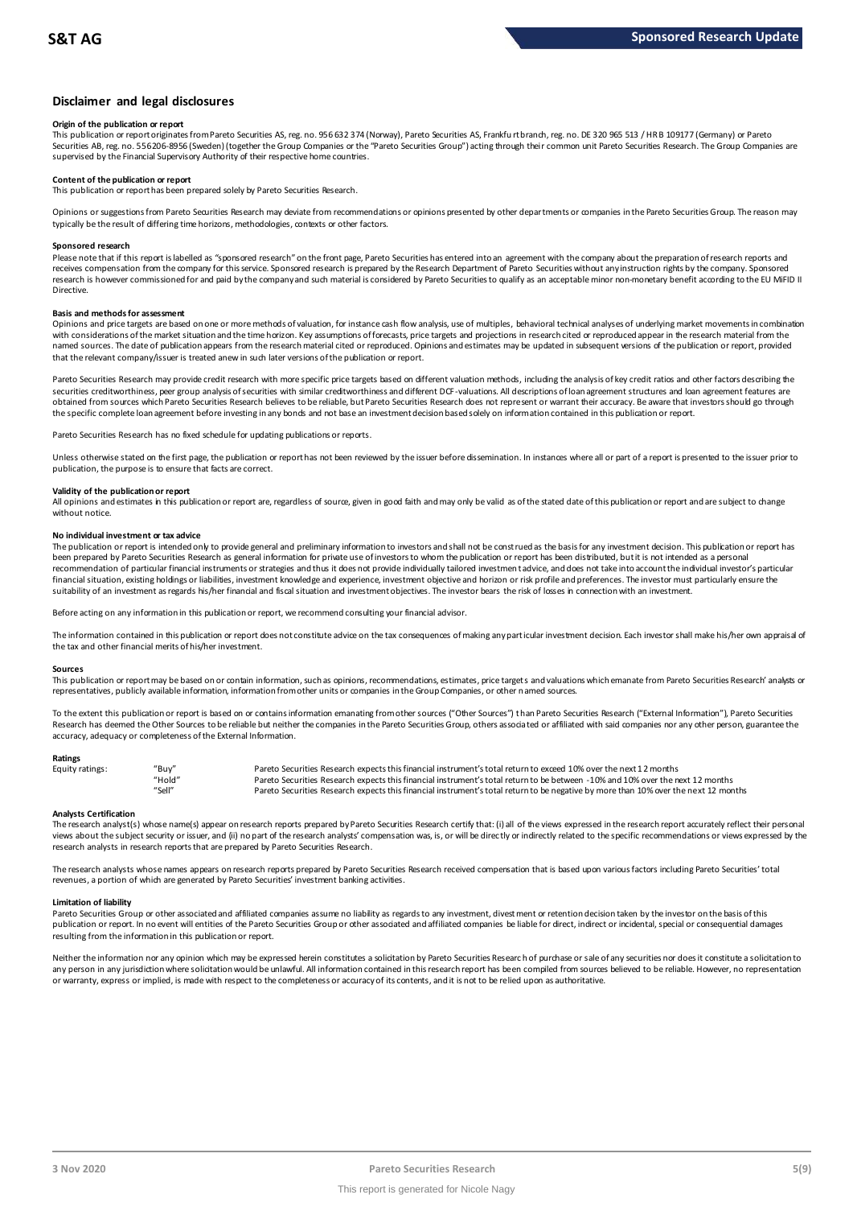# **Disclaimer and legal disclosures**

### **Origin of the publication or report**

This publication or report originates from Pareto Securities AS, reg. no. 956 632 374 (Norway), Pareto Securities AS, Frankfu rt branch, reg. no. DE 320 965 513 / HR B 109177 (Germany) or Pareto Securities AB, reg. no. 556206-8956 (Sweden) (together the Group Companies or the "Pareto Securities Group") acting through their common unit Pareto Securities Research. The Group Companies are supervised by the Financial Supervisory Authority of their respective home countries.

### **Content of the publication or report**

This publication or report has been prepared solely by Pareto Securities Research.

Opinions or suggestions from Pareto Securities Research may deviate from recommendations or opinions presented by other departments or companies in the Pareto Securities Group. The reason may typically be the result of differing time horizons, methodologies, contexts or other factors.

#### **Sponsored research**

Please note that if this report is labelled as "sponsored research" on the front page, Pareto Securities has entered into an agreement with the company about the preparation of research reports and receives compensation from the company for this service. Sponsored research is prepared by the Research Department of Pareto Securities without any instruction rights by the company. Sponsored research is however commissioned for and paid by the company and such material is considered by Pareto Securities to qualify as an acceptable minor non-monetary benefit according to the EU MiFID II Directive.

# **Basis and methods for assessment**

Opinions and price targets are based on one or more methods of valuation, for instance cash flow analysis, use of multiples, behavioral technical analyses of underlying market movements in combination with considerations of the market situation and the time horizon. Key assumptions of forecasts, price targets and projections in research cited or reproduced appear in the research material from the named sources. The date of publication appears from the research material cited or reproduced. Opinions and estimates may be updated in subsequent versions of the publication or report, provided in subsequent versions of t that the relevant company/issuer is treated anew in such later versions of the publication or report.

Pareto Securities Research may provide credit research with more specific price targets based on different valuation methods, including the analysis of key credit ratios and other factors describing the securities creditworthiness, peer group analysis of securities with similar creditworthiness and different DCF-valuations. All descriptions of loan agreement structures and loan agreement features are obtained from sources which Pareto Securities Research believes to be reliable, but Pareto Securities Research does not represent or warrant their accuracy. Be aware that investors should go through the specific complete loan agreement before investing in any bonds and not base an investment decision based solely on information contained in this publication or report.

Pareto Securities Research has no fixed schedule for updating publications or reports.

Unless otherwise stated on the first page, the publication or report has not been reviewed by the issuer before dissemination. In instances where all or part of a report is presented to the issuer prior to publication, the purpose is to ensure that facts are correct.

#### **Validity of the publication or report**

All opinions and estimates in this publication or report are, regardless of source, given in good faith and may only be valid as of the stated date of this publication or report and are subject to change without notice

#### **No individual investment or tax advice**

The publication or report is intended only to provide general and preliminary information to investors and shall not be construed as the basis for any investment decision. This publication or report has been prepared by Pareto Securities Research as general information for private use of investors to whom the publication or report has been distributed, but it is not intended as a personal recommendation of particular financial instruments or strategies and thus it does not provide individually tailored investmen t advice, and does not take into account the individual investor's particular financial situation, existing holdings or liabilities, investment knowledge and experience, investment objective and horizon or risk profile and preferences. The investor must particularly ensure the suitability of an investment as regards his/her financial and fiscal situation and investment objectives. The investor bears the risk of losses in connection with an investment.

Before acting on any information in this publication or report, we recommend consulting your financial advisor.

The information contained in this publication or report does not constitute advice on the tax consequences of making any particular investment decision. Each investor shall make his/her own appraisal of the tax and other financial merits of his/her investment.

#### **Sources**

This publication or report may be based on or contain information, such as opinions, recommendations, estimates, price targets and valuations which emanate from Pareto Securities Research' analysts or representatives, publicly available information, information from other units or companies in the Group Companies, or other named sources.

To the extent this publication or report is based on or contains information emanating from other sources "Other Sources") than Pareto Securities Research ("External Information"), Pareto Securities Research has deemed the Other Sources to be reliable but neither the companies in the Pareto Securities Group, others associated or affiliated with said companies nor any other person, guarantee the accuracy, adequacy or completeness of the External Information.

#### **Ratings**

| Equity ratings: | "Buy"  | Pareto Securities Research expects this financial instrument's total return to exceed 10% over the next 12 months                   |
|-----------------|--------|-------------------------------------------------------------------------------------------------------------------------------------|
|                 | "Hold" | Pareto Securities Research expects this financial instrument's total return to be between -10% and 10% over the next 12 months      |
|                 | "Sell" | Pareto Securities Research expects this financial instrument's total return to be negative by more than 10% over the next 12 months |

Analysts Certification<br>The research analyst(s) whose name(s) appear on research reports prepared by Pareto Securities Research certify that: (i) all of the views expressed in the research report accurately reflect their pe "Hold" Pareto Securities Research expects this financial instrument's total return to be between -1.0% and 10% over the next 12 months<br>"Sell" Pareto Securities Research expects this financial instrument's total return to b research analysts in research reports that are prepared by Pareto Securities Research.

The research analysts whose names appears on research reports prepared by Pareto Securities Research received compensation that is based upon various factors including Pareto Securities' total revenues, a portion of which are generated by Pareto Securities' investment banking activities.

### **Limitation of liability**

Pareto Securities Group or other associated and affiliated companies assume no liability as regards to any investment, divest ment or retention decision taken by the investor on the basis of this publication or report. In no event will entities of the Pareto Securities Group or other associated and affiliated companies be liable for direct, indirect or incidental, special or consequential damages resulting from the information in this publication or report.

Neither the information nor any opinion which may be expressed herein constitutes a solicitation by Pareto Securities Research of purchase or sale of any securities nor does it constitute a solicitation to any person in any jurisdiction where solicitation would be unlawful. All information contained in this research report has been compiled from sources believed to be reliable. However, no representation or warranty, express or implied, is made with respect to the completeness or accuracy of its contents, and it is not to be relied upon as authoritative.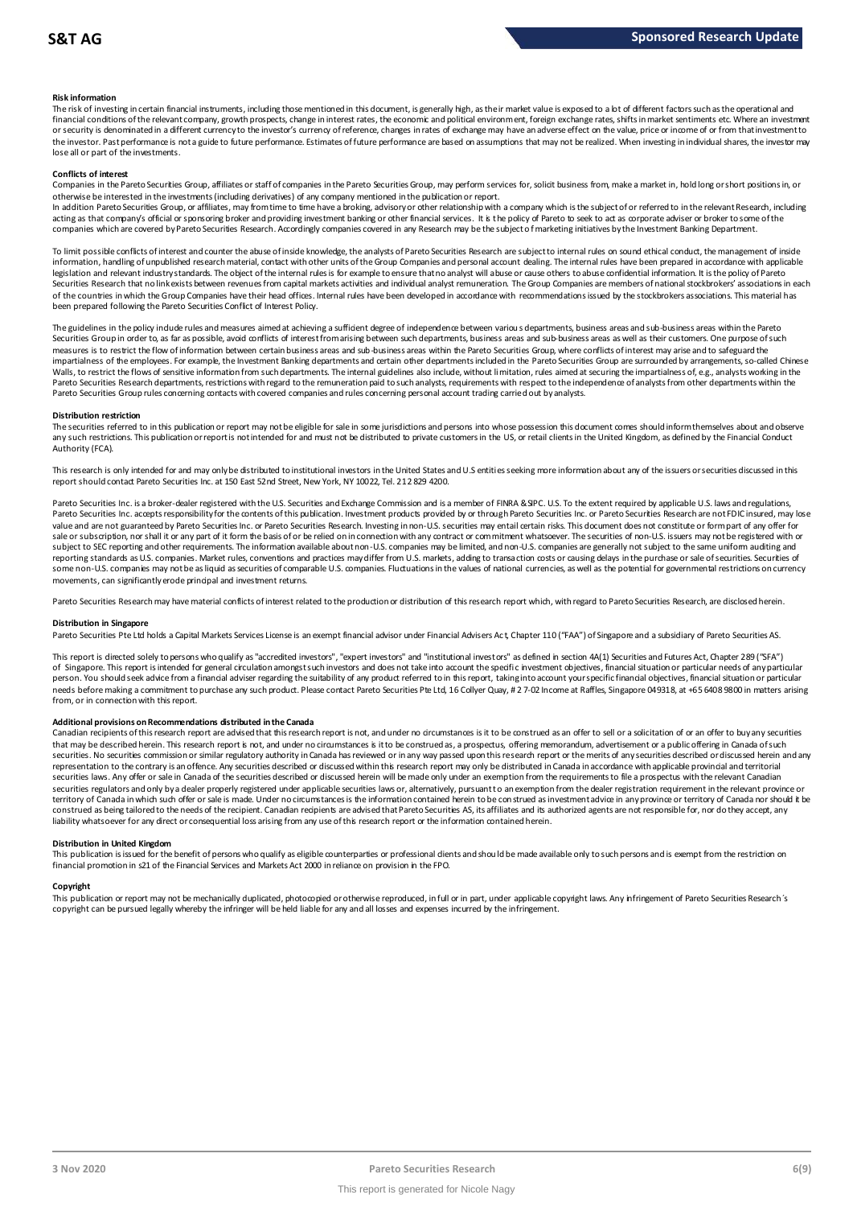### **Risk information**

The risk of investing in certain financial instruments, including those mentioned in this document, is generally high, as their market value is exposed to a lot of different factors such as the operational and financial conditions of the relevant company, growth prospects, change in interest rates, the economic and political environment, foreign exchange rates, shifts in market sentiments etc. Where an investment or security is denominated in a different currency to the investor's currency of reference, changes in rates of exchange may have an adverse effect on the value, price or income of or from that investment to the investor. Past performance is not a guide to future performance. Estimates of future performance are based on assumptions that may not be realized. When investing in individual shares, the investor may lose all or part of the investments.

#### **Conflicts of interest**

Companies in the Pareto Securities Group, affiliates or staff of companies in the Pareto Securities Group, may perform services for, solicit business from, make a market in, hold long or short positions in, or otherwise be interested in the investments (including derivatives) of any company mentioned in the publication or report.

In addition Pareto Securities Group, or affiliates, may from time to time have a broking, advisory or other relationship with a company which is the subject of or referred to in the relevant Research, including acting as that company's official or sponsoring broker and providing investment banking or other financial services. It is the policy of Pareto to seek to act as corporate adviser or broker to some of the companies which are covered by Pareto Securities Research. Accordingly companies covered in any Research may be the subject o f marketing initiatives by the Investment Banking Department.

To limit possible conflicts of interest and counter the abuse of inside knowledge, the analysts of Pareto Securities Research are subject to internal rules on sound ethical conduct, the management of inside information, handling of unpublished research material, contact with other units of the Group Companies and personal account dealing. The internal rules have been prepared in accordance with applicable legislation and relevant industry standards. The object of the internal rules is for example to ensure that no analyst will abuse or cause others to abuse confidential information. It is the policy of Pareto Securities Research that no link exists between revenues from capital markets activities and individual analyst remuneration. The Group Companies are members of national stockbrokers' associations in each of the countries in which the Group Companies have their head offices. Internal rules have been developed in accordance with recommendations issued by the stockbrokers associations. This material has been prepared following the Pareto Securities Conflict of Interest Policy.

The guidelines in the policy indude rules and measures aimed at achieving a sufficient degree of independence between variou s departments, business areas and sub-business areas within the Pareto Securities Group in order to, as far as possible, avoid conflicts of interest from arising between such departments, business areas and sub-business areas as well as their customers. One purpose of such measures is to restrict the flow of information between certain business areas and sub-business areas within the Pareto Securities Group, where conflicts of interest may arise and to safeguard the impartialness of the employees. For example, the Investment Banking departments and certain other departments included in the Pareto Securities Group are surrounded by arrangements, so-called Chinese Walls, to restrict the flows of sensitive information from such departments. The internal guidelines also include, without limitation, rules aimed at securing the impartialness of, e.g., analysts working in the Pareto Securities Research departments, restrictions with regard to the remuneration paid to such analysts, requirements with respect to the independence of analysts from other departments within the Pareto Securities Group rules concerning contacts with covered companies and rules concerning personal account trading carried out by analysts.

#### **Distribution restriction**

The securities referred to in this publication or report may not be eligible for sale in some jurisdictions and persons into whose possession this document comes should inform themselves about and observe Pareto Securities Group rules concerning contacts with covered companies and rules concerning personal account trading carried out by analysts.<br>Distribution restriction<br>The securities referred to in this publication or rep Authority (FCA).

This research is only intended for and may only be distributed to institutional investors in the United States and U.S entities seeking more information about any of the issuers or securities discussed in this report should contact Pareto Securities Inc. at 150 East 52nd Street, New York, NY 10022, Tel. 212 829 4200.

Pareto Securities Inc. is a broker-dealer registered with the U.S. Securities and Exchange Commission and is a member of FINRA & SIPC. U.S. To the extent required by applicable U.S. laws and regulations, Pareto Securities Inc. accepts responsibility for the contents of this publication. Investment products provided by or through Pareto Securities Inc. or Pareto Securities Research are not FDIC insured, may lose value and are not guaranteed by Pareto Securities Inc. or Pareto Securities Research. Investing in non-U.S. securities may entail certain risks. This document does not constitute or form part of any offer for sale or subscription, nor shall it or any part of it form the basis of or be relied on in connection with any contract or commitment whatsoever. The securities of non-U.S. issuers may not be registered with or subject to SEC reporting and other requirements. The information available about non-U.S. companies may be limited, and non-U.S. companies are generally not subject to the same uniform auditing and subject to the same unif reporting standards as U.S. companies. Market rules, conventions and practices may differ from U.S. markets, adding to transaction costs or causing delays in the purchase or sale of securities. Securities of some non-U.S. companies may not be as liquid as securities of comparable U.S. companies. Fluctuations in the values of national currencies, as well as the potential for governmental restrictions on currency movements, can significantly erode principal and investment returns.

Pareto Securities Research may have material conflicts of interest related to the production or distribution of this research report which, with regard to Pareto Securities Research, are disclosed herein.

### **Distribution in Singapore**

Pareto Securities Pte Ltd holds a Capital Markets Services License is an exempt financial advisor under Financial Advisers Act, Chapter 110 ("FAA") of Singapore and a subsidiary of Pareto Securities AS.

This report is directed solely to persons who qualify as "accredited investors", "expert investors" and "institutional investors" as defined in section 4A(1) Securities and Futures Act, Chapter 289 ("SFA") o f Singapore. This report is intended for general circulation amongst such investors and does not take into account the specifi c investment objectives, financial situation or particular needs of any particular person. You should seek advice from a financial adviser regarding the suitability of any product referred to in this report, taking into account your specific financial objectives, financial situation or particular needs before making a commitment to purchase any such product. Please contact Pareto Securities Pte Ltd, 16 Collyer Quay, # 2 7-02 Income at Raffles, Singapore 049318, at +65 6408 9800 in matters arising from, or in connection with this report.

Additional provisions on Recommendations distributed in the Canada<br>Canadian recipients of this research report are advised that this research report is not, and under no drcumstances is it to be construed as an offer to se needs before making a commitment to purchase any such product. Please contact Pareto Securities Pte Ltd, 16 Collyer Quay, # 2 7-02 Income at Raffles, Singapore 049318, at +65 6408 9800 in matters arisin<br>from, or in connect from, or in connection with this report.<br>Additional provisions on Recommendations distributed in the Canada<br>Canadian recipients of this research report are advised that this research report is not, and under no circumstanc securities. No securities commission or similar regulatory authority in Canada has reviewed or in any way passed upon this research report or the merits of any securities described or discussed herein and any representation to the contrary is an offence. Any securities described or discussed within this research report may only be distributed in Canada in accordance with applicable provincial and territorial<br>securities laws. An securities regulators and only bya dealer properly registered under applicable securities laws or, alternatively, pursuant to an exemption from the dealer registration requirement in the relevant province or territory of Canada in which such offer or sale is made. Under no circumstances is the information contained herein to be construed as investment advice in any province or territory of Canada nor should it be<br>construed as liability whatsoever for any direct or consequential loss arising from any use of this research report or the information contained herein.

Distribution in United Kingdom<br>This publication is issued for the benefit of persons who qualify as eligible counterparties or professional dients and should be made available only to such persons and is exempt from the re financial promotion in s21 of the Financial Services and Markets Act 2000 in reliance on provision in the FPO.

Copyright<br>This publication or report may not be mechanically duplicated, photocopied or otherwise reproduced, in full or in part, under applicable copyright laws. Any infringement of Pareto Securities Research's copyright can be pursued legally whereby the infringer will be held liable for any and all losses and expenses incurred by the infringement.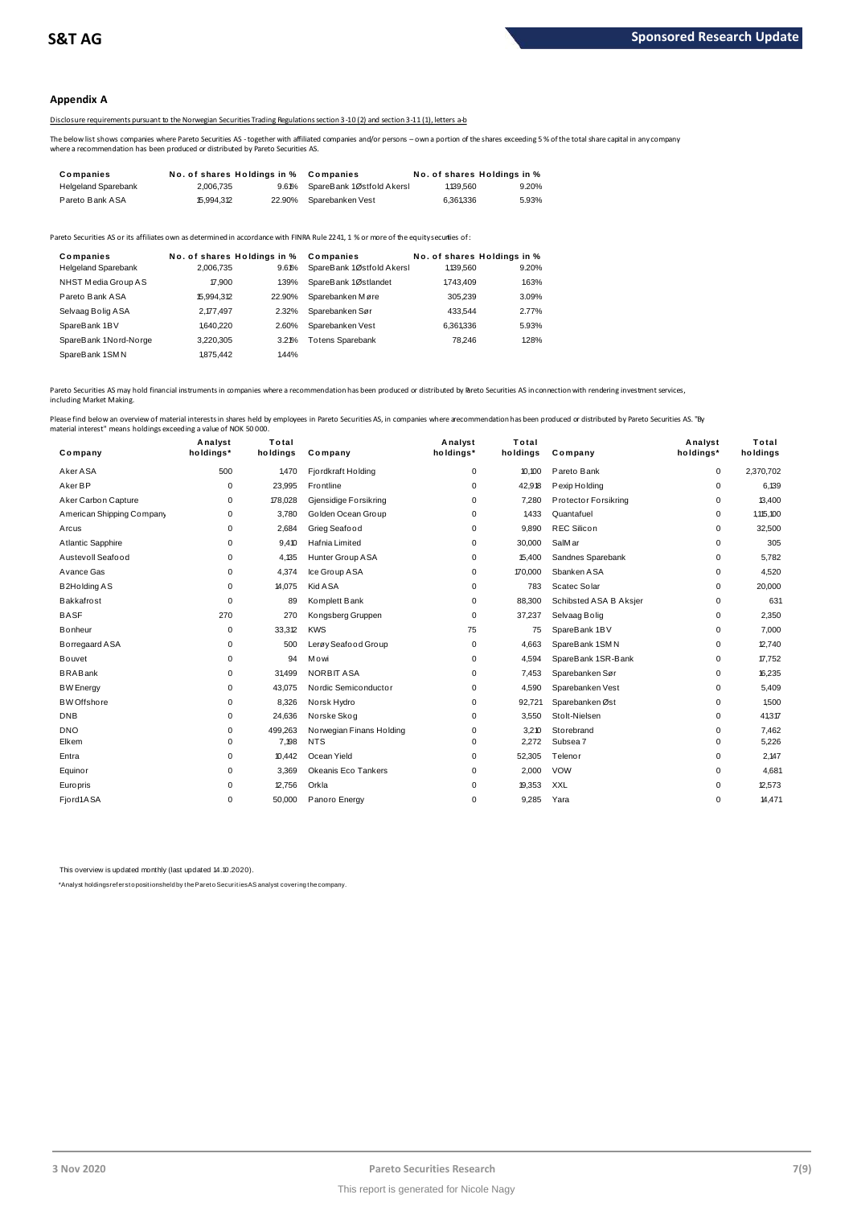# **Appendix A**

# Disclosure requirements pursuant to the Norwegian Securities Trading Regulations section 3-10 (2) and section 3-11 (1), letters a-b

The below list shows companies where Pareto Securities AS - together with affiliated companies and/or persons – own a portion of the shares exceeding 5 % of the total share capital in any company<br>where a recommendation has

|                                                                                                                                                                                                                                           |                             |        | Disclosure requirements pursuant to the Norwegian Securities Trading Regulations section 3-10(2) and section 3-11(1). letters a-b |           |                             |  |  |  |
|-------------------------------------------------------------------------------------------------------------------------------------------------------------------------------------------------------------------------------------------|-----------------------------|--------|-----------------------------------------------------------------------------------------------------------------------------------|-----------|-----------------------------|--|--|--|
| The below list shows companies where Pareto Securities AS-together with affiliated companies and/or persons – own a portion of the shares exceeding 5<br>where a recommendation has been produced or distributed by Pareto Securities AS. |                             |        |                                                                                                                                   |           |                             |  |  |  |
| Companies                                                                                                                                                                                                                                 | No. of shares Holdings in % |        | Companies                                                                                                                         |           | No. of shares Holdings in % |  |  |  |
| <b>Helgeland Sparebank</b>                                                                                                                                                                                                                | 2.006.735                   | 9.61%  | SpareBank 1Østfold Akersl                                                                                                         | 1.139.560 | 9.20%                       |  |  |  |
| Pareto Bank ASA                                                                                                                                                                                                                           | 15.994.312                  | 22.90% | Sparebanken Vest                                                                                                                  | 6.361336  | 5.93%                       |  |  |  |

| <b>Falciu Dalin AUA</b>                                                                                                               | 10.994.0 L                  | 22.JU / 0 | <b>OVAIGVAIINGII VESL</b> | <b>U.JU I.JJU</b> | J.JJ 70                     |
|---------------------------------------------------------------------------------------------------------------------------------------|-----------------------------|-----------|---------------------------|-------------------|-----------------------------|
| Pareto Securities AS or its affiliates own as determined in accordance with FINRA Rule 2241, 1 % or more of the equity securiies of : |                             |           |                           |                   |                             |
| Companies                                                                                                                             | No. of shares Holdings in % |           | Companies                 |                   | No. of shares Holdings in % |
| <b>Helgeland Sparebank</b>                                                                                                            | 2.006.735                   | 9.61%     | SpareBank 1Østfold Akersl | 1,139,560         | 9.20%                       |
| NHST Media Group AS                                                                                                                   | 17.900                      | 1.39%     | SpareBank 1Østlandet      | 1743.409          | 1.63%                       |
| Pareto Bank ASA                                                                                                                       | 15.994.312                  | 22.90%    | Sparebanken Møre          | 305.239           | 3.09%                       |
| Selvaag Bolig ASA                                                                                                                     | 2.177.497                   | 2.32%     | Sparebanken Sør           | 433.544           | 2.77%                       |
| SpareBank 1BV                                                                                                                         | 1,640,220                   | 2.60%     | Sparebanken Vest          | 6,361,336         | 5.93%                       |
| SpareBank 1Nord-Norge                                                                                                                 | 3.220.305                   | 3.21%     | <b>Totens Sparebank</b>   | 78.246            | 1.28%                       |
| SpareBank 1SMN                                                                                                                        | 1875.442                    | 1.44%     |                           |                   |                             |
|                                                                                                                                       |                             |           |                           |                   |                             |

Pareto Securities AS may hold financial instruments in companies where a recommendation has been produced or distributed by Pareto Securities AS in connection with rendering investment services, including Market Making.

| Pareto Securities AS may hold financial instruments in companies where a recommendation has been produced or distributed by Pareto Securities AS in connection with rendering investment services,<br>including Market Making.                                                 |                      |                   |                          |                      |                   |                        |                      |                   |
|--------------------------------------------------------------------------------------------------------------------------------------------------------------------------------------------------------------------------------------------------------------------------------|----------------------|-------------------|--------------------------|----------------------|-------------------|------------------------|----------------------|-------------------|
| Please find below an overview of material interests in shares held by employees in Pareto Securities AS, in companies where a ecommendation has been produced or distributed by Pareto Securities AS. "By<br>material interest" means holdings exceeding a value of NOK 50000. |                      |                   |                          |                      |                   |                        |                      |                   |
| Company                                                                                                                                                                                                                                                                        | Analyst<br>holdings* | Total<br>holdings | Company                  | Analyst<br>holdings* | Total<br>holdings | Company                | Analyst<br>holdings* | Total<br>holdings |
| Aker ASA                                                                                                                                                                                                                                                                       | 500                  | 1.470             | Fjordkraft Holding       | $\mathbf 0$          | 10.100            | Pareto Bank            | 0                    | 2,370,702         |
| Aker BP                                                                                                                                                                                                                                                                        | $\mathbf 0$          | 23,995            | Frontline                | $\mathbf 0$          | 42,918            | Pexip Holding          | 0                    | 6,139             |
| Aker Carbon Capture                                                                                                                                                                                                                                                            | 0                    | 178,028           | Gjensidige Forsikring    | 0                    | 7,280             | Protector Forsikring   | 0                    | 13.400            |
| American Shipping Company                                                                                                                                                                                                                                                      | 0                    | 3.780             | Golden Ocean Group       | 0                    | 1.433             | Quantafuel             | 0                    | 1,115,100         |
| Arcus                                                                                                                                                                                                                                                                          | 0                    | 2.684             | Grieg Seafood            | 0                    | 9.890             | <b>REC Silicon</b>     | 0                    | 32,500            |
| Atlantic Sapphire                                                                                                                                                                                                                                                              | 0                    | 9.410             | Hafnia Limited           | $\Omega$             | 30,000            | SalM ar                | 0                    | 305               |
| Austevoll Seafood                                                                                                                                                                                                                                                              | 0                    | 4.135             | Hunter Group ASA         | 0                    | 15.400            | Sandnes Sparebank      | 0                    | 5,782             |
| Avance Gas                                                                                                                                                                                                                                                                     | 0                    | 4,374             | Ice Group ASA            | 0                    | 170,000           | Sbanken ASA            | 0                    | 4,520             |
| <b>B2Holding AS</b>                                                                                                                                                                                                                                                            | $\mathbf 0$          | 14,075            | Kid A SA                 | $\mathbf 0$          | 783               | Scatec Solar           | 0                    | 20,000            |
| <b>Bakkafrost</b>                                                                                                                                                                                                                                                              | $\mathbf 0$          | 89                | Komplett Bank            | $\mathbf 0$          | 88,300            | Schibsted ASA B Aksjer | 0                    | 631               |
| <b>BASF</b>                                                                                                                                                                                                                                                                    | 270                  | 270               | Kongsberg Gruppen        | $\mathbf 0$          | 37,237            | Selvaag Bolig          | 0                    | 2,350             |
| <b>Bonheur</b>                                                                                                                                                                                                                                                                 | $\mathbf 0$          | 33,312            | <b>KWS</b>               | 75                   | 75                | SpareBank 1BV          | 0                    | 7,000             |
| Borregaard ASA                                                                                                                                                                                                                                                                 | 0                    | 500               | Lerøy Seafood Group      | 0                    | 4,663             | SpareBank 1SMN         | 0                    | 12,740            |
| Bouvet                                                                                                                                                                                                                                                                         | 0                    | 94                | Mowi                     | 0                    | 4,594             | SpareBank 1SR-Bank     | 0                    | 17,752            |
| <b>BRABank</b>                                                                                                                                                                                                                                                                 | 0                    | 31,499            | <b>NORBIT ASA</b>        | $\Omega$             | 7,453             | Sparebanken Sør        | 0                    | 16,235            |
| <b>BW</b> Energy                                                                                                                                                                                                                                                               | 0                    | 43,075            | Nordic Semiconductor     | $\mathbf 0$          | 4,590             | Sparebanken Vest       | 0                    | 5,409             |
| <b>BW</b> Offshore                                                                                                                                                                                                                                                             | 0                    | 8,326             | Norsk Hydro              | $\Omega$             | 92,721            | Sparebanken Øst        | 0                    | 1.500             |
| <b>DNB</b>                                                                                                                                                                                                                                                                     | 0                    | 24,636            | Norske Skog              | 0                    | 3,550             | Stolt-Nielsen          | 0                    | 41,317            |
| <b>DNO</b>                                                                                                                                                                                                                                                                     | 0                    | 499,263           | Norwegian Finans Holding | 0                    | 3.210             | Storebrand             | 0                    | 7.462             |
| Elkem                                                                                                                                                                                                                                                                          | 0                    | 7,198             | <b>NTS</b>               | $\Omega$             | 2,272             | Subsea 7               | 0                    | 5,226             |
| Entra                                                                                                                                                                                                                                                                          | $\mathbf 0$          | 10.442            | Ocean Yield              | 0                    | 52,305            | Telenor                | 0                    | 2,147             |
| Equinor                                                                                                                                                                                                                                                                        | 0                    | 3.369             | Okeanis Eco Tankers      | 0                    | 2,000             | <b>VOW</b>             | 0                    | 4,681             |
| Europris                                                                                                                                                                                                                                                                       | $\mathbf 0$          | 12,756            | Orkla                    | 0                    | 19,353            | XXL                    | 0                    | 12,573            |
| Fjord1ASA                                                                                                                                                                                                                                                                      | $\mathbf 0$          | 50,000            | Panoro Energy            | $\mathbf 0$          | 9.285             | Yara                   | 0                    | 14,471            |

This overview is updated monthly (last updated 14.10.2020).

\*Analyst holdings ref ers t o posit ions held by t he Paret o Securit ies AS analyst covering t he company.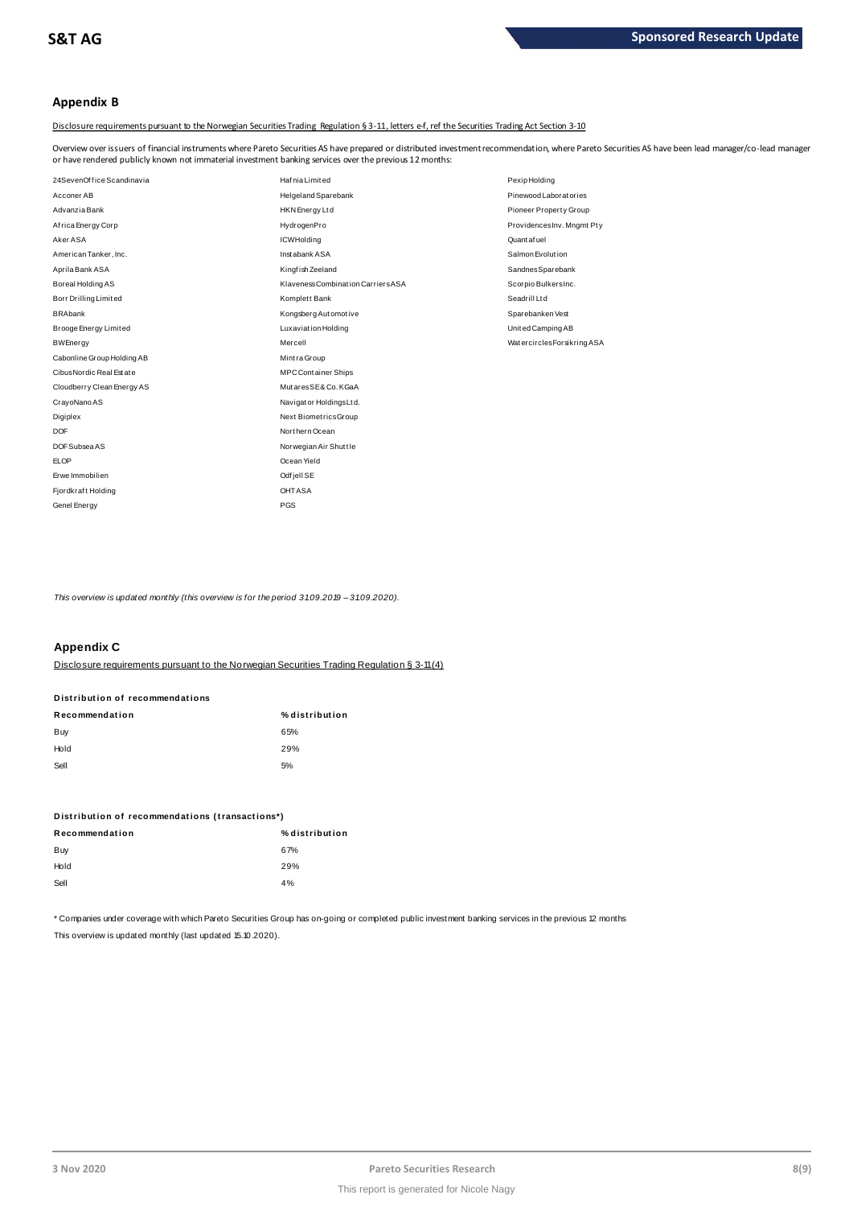# **Appendix B**

Disclosure requirements pursuant to the Norwegian Securities Trading Regulation § 3-11, letters e-f, ref the Securities Trading Act Section 3-10

Overview over issuers of financial instruments where Pareto Securities AS have prepared or distributed investment recommendation, where Pareto Securities AS have been lead manager/co-lead manager<br>or have rendered publicly

| or have rendered publicly known not immaterial investment banking services over the previous 12 months: |                                    |                            |  |  |  |  |  |
|---------------------------------------------------------------------------------------------------------|------------------------------------|----------------------------|--|--|--|--|--|
| 24SevenOffice Scandinavia                                                                               | <b>Hafnia Limited</b>              | Pexip Holding              |  |  |  |  |  |
| Acconer AB                                                                                              | Helgeland Sparebank                | Pinewood Laboratories      |  |  |  |  |  |
| Advanzia Bank                                                                                           | <b>HKN</b> Energy Ltd              | Pioneer Property Group     |  |  |  |  |  |
| Africa Energy Corp                                                                                      | HydrogenPro                        | ProvidencesInv. Mngmt Pty  |  |  |  |  |  |
| Aker ASA                                                                                                | <b>ICWHolding</b>                  | Quantafuel                 |  |  |  |  |  |
| American Tanker, Inc.                                                                                   | Inst abank ASA                     | Salmon Evolution           |  |  |  |  |  |
| Aprila Bank ASA                                                                                         | Kingfish Zeeland                   | SandnesSparebank           |  |  |  |  |  |
| Boreal Holding AS                                                                                       | Klaveness Combination Carriers ASA | Scorpio BulkersInc.        |  |  |  |  |  |
| Borr Drilling Limited                                                                                   | Komplett Bank                      | Seadrill Ltd               |  |  |  |  |  |
| <b>BRAbank</b>                                                                                          | Kongsberg Automotive               | Sparebanken Vest           |  |  |  |  |  |
| Brooge Energy Limited                                                                                   | Luxaviation Holding                | United Camping AB          |  |  |  |  |  |
| <b>BWEnergy</b>                                                                                         | Mercell                            | WatercirclesForsikring ASA |  |  |  |  |  |
| Cabonline Group Holding AB                                                                              | Mintra Group                       |                            |  |  |  |  |  |
| Cibus Nordic Real Estate                                                                                | <b>MPC Container Ships</b>         |                            |  |  |  |  |  |
| Cloudberry Clean Energy AS                                                                              | MutaresSE& Co. KGaA                |                            |  |  |  |  |  |
| CrayoNano AS                                                                                            | Navigator Holdings Ltd.            |                            |  |  |  |  |  |
| Digiplex                                                                                                | Next BiometricsGroup               |                            |  |  |  |  |  |
| <b>DOF</b>                                                                                              | Northern Ocean                     |                            |  |  |  |  |  |
| DOF Subsea AS                                                                                           | Norwegian Air Shuttle              |                            |  |  |  |  |  |
| <b>ELOP</b>                                                                                             | Ocean Yield                        |                            |  |  |  |  |  |
| Erwe Immobilien                                                                                         | Odf jell SE                        |                            |  |  |  |  |  |
| Fjordkraft Holding                                                                                      | <b>OHTASA</b>                      |                            |  |  |  |  |  |
| Genel Energy                                                                                            | PGS                                |                            |  |  |  |  |  |

This overview is updated monthly (this overview is for the period 31.09.2019 - 31.09.2020).

# **Appendix C**

Disclosure requirements pursuant to the Norwegian Securities Trading Regulation § 3-11 (4)

# **Distribution of recommendations**<br>**Recommendation**<br>Buy B5% Buy 65% **Disclosure requirements pursuant to<br>Distribution of recommendations**

| Hold | 29% |
|------|-----|
| Sell | 5%  |

| ------ |                                                 |  |
|--------|-------------------------------------------------|--|
|        |                                                 |  |
|        |                                                 |  |
|        |                                                 |  |
|        |                                                 |  |
|        |                                                 |  |
|        | Distribution of recommendations (transactions*) |  |
|        |                                                 |  |
|        |                                                 |  |

| Distribution of recommendations (transactions*) |                |  |  |
|-------------------------------------------------|----------------|--|--|
| Recommendation                                  | % distribution |  |  |
| Buy                                             | 67%            |  |  |
| Hold                                            | 29%            |  |  |
| Sell                                            | 4%             |  |  |
|                                                 |                |  |  |

\* Companies under coverage with which Pareto Securities Group has on-going or completed public investment banking services in the previous 12 months This overview is updated monthly (last updated 15.10.2020).